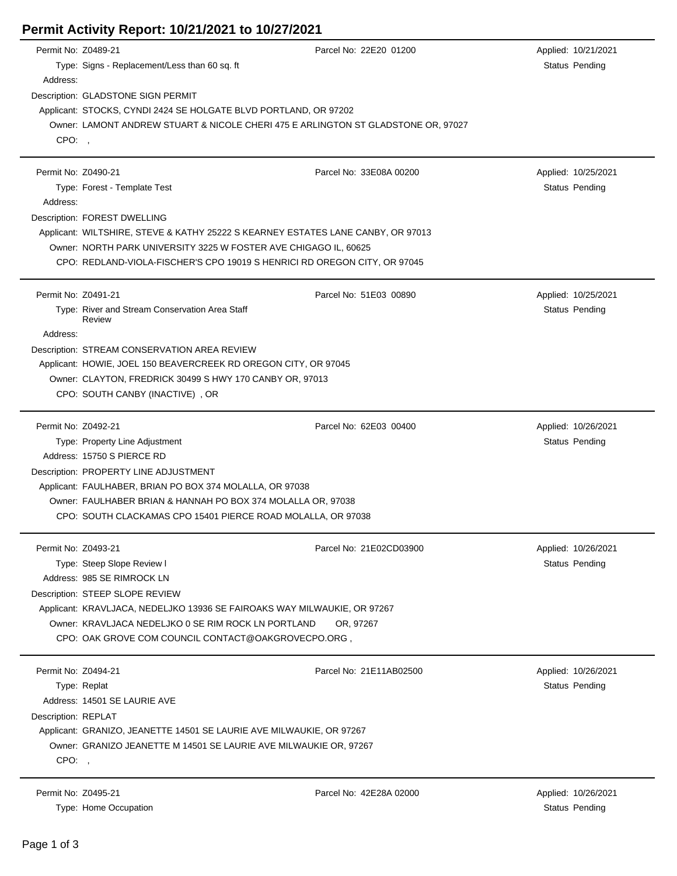## **Permit Activity Report: 10/21/2021 to 10/27/2021**

| Permit No: Z0489-21 |                                                                                   | Parcel No: 22E20 01200  | Applied: 10/21/2021 |  |  |  |
|---------------------|-----------------------------------------------------------------------------------|-------------------------|---------------------|--|--|--|
|                     | Type: Signs - Replacement/Less than 60 sq. ft                                     |                         | Status Pending      |  |  |  |
| Address:            |                                                                                   |                         |                     |  |  |  |
|                     | Description: GLADSTONE SIGN PERMIT                                                |                         |                     |  |  |  |
|                     | Applicant: STOCKS, CYNDI 2424 SE HOLGATE BLVD PORTLAND, OR 97202                  |                         |                     |  |  |  |
|                     | Owner: LAMONT ANDREW STUART & NICOLE CHERI 475 E ARLINGTON ST GLADSTONE OR, 97027 |                         |                     |  |  |  |
| CPO:,               |                                                                                   |                         |                     |  |  |  |
|                     |                                                                                   |                         |                     |  |  |  |
| Permit No: Z0490-21 |                                                                                   | Parcel No: 33E08A 00200 | Applied: 10/25/2021 |  |  |  |
|                     | Type: Forest - Template Test                                                      |                         | Status Pending      |  |  |  |
| Address:            |                                                                                   |                         |                     |  |  |  |
|                     | Description: FOREST DWELLING                                                      |                         |                     |  |  |  |
|                     | Applicant: WILTSHIRE, STEVE & KATHY 25222 S KEARNEY ESTATES LANE CANBY, OR 97013  |                         |                     |  |  |  |
|                     | Owner: NORTH PARK UNIVERSITY 3225 W FOSTER AVE CHIGAGO IL, 60625                  |                         |                     |  |  |  |
|                     | CPO: REDLAND-VIOLA-FISCHER'S CPO 19019 S HENRICI RD OREGON CITY, OR 97045         |                         |                     |  |  |  |
| Permit No: Z0491-21 |                                                                                   | Parcel No: 51E03 00890  | Applied: 10/25/2021 |  |  |  |
|                     | Type: River and Stream Conservation Area Staff                                    |                         | Status Pending      |  |  |  |
|                     | Review                                                                            |                         |                     |  |  |  |
| Address:            |                                                                                   |                         |                     |  |  |  |
|                     | Description: STREAM CONSERVATION AREA REVIEW                                      |                         |                     |  |  |  |
|                     | Applicant: HOWIE, JOEL 150 BEAVERCREEK RD OREGON CITY, OR 97045                   |                         |                     |  |  |  |
|                     | Owner: CLAYTON, FREDRICK 30499 S HWY 170 CANBY OR, 97013                          |                         |                     |  |  |  |
|                     | CPO: SOUTH CANBY (INACTIVE), OR                                                   |                         |                     |  |  |  |
|                     |                                                                                   |                         |                     |  |  |  |
| Permit No: Z0492-21 |                                                                                   | Parcel No: 62E03 00400  | Applied: 10/26/2021 |  |  |  |
|                     | Type: Property Line Adjustment                                                    |                         | Status Pending      |  |  |  |
|                     | Address: 15750 S PIERCE RD                                                        |                         |                     |  |  |  |
|                     | Description: PROPERTY LINE ADJUSTMENT                                             |                         |                     |  |  |  |
|                     | Applicant: FAULHABER, BRIAN PO BOX 374 MOLALLA, OR 97038                          |                         |                     |  |  |  |
|                     | Owner: FAULHABER BRIAN & HANNAH PO BOX 374 MOLALLA OR, 97038                      |                         |                     |  |  |  |
|                     | CPO: SOUTH CLACKAMAS CPO 15401 PIERCE ROAD MOLALLA, OR 97038                      |                         |                     |  |  |  |
| Permit No: Z0493-21 |                                                                                   | Parcel No: 21E02CD03900 | Applied: 10/26/2021 |  |  |  |
|                     | Type: Steep Slope Review I                                                        |                         | Status Pending      |  |  |  |
|                     | Address: 985 SE RIMROCK LN                                                        |                         |                     |  |  |  |
|                     | Description: STEEP SLOPE REVIEW                                                   |                         |                     |  |  |  |
|                     | Applicant: KRAVLJACA, NEDELJKO 13936 SE FAIROAKS WAY MILWAUKIE, OR 97267          |                         |                     |  |  |  |
|                     | Owner: KRAVLJACA NEDELJKO 0 SE RIM ROCK LN PORTLAND                               | OR. 97267               |                     |  |  |  |
|                     |                                                                                   |                         |                     |  |  |  |
|                     | CPO: OAK GROVE COM COUNCIL CONTACT@OAKGROVECPO.ORG,                               |                         |                     |  |  |  |
| Permit No: Z0494-21 |                                                                                   | Parcel No: 21E11AB02500 | Applied: 10/26/2021 |  |  |  |
|                     | Type: Replat                                                                      |                         | Status Pending      |  |  |  |
|                     | Address: 14501 SE LAURIE AVE                                                      |                         |                     |  |  |  |
| Description: REPLAT |                                                                                   |                         |                     |  |  |  |
|                     | Applicant: GRANIZO, JEANETTE 14501 SE LAURIE AVE MILWAUKIE, OR 97267              |                         |                     |  |  |  |
|                     | Owner: GRANIZO JEANETTE M 14501 SE LAURIE AVE MILWAUKIE OR, 97267                 |                         |                     |  |  |  |
| CPO:                |                                                                                   |                         |                     |  |  |  |
| Permit No: Z0495-21 |                                                                                   |                         |                     |  |  |  |
|                     |                                                                                   | Parcel No: 42E28A 02000 | Applied: 10/26/2021 |  |  |  |

Type: Home Occupation Status Pending Company of the Status Pending Status Pending Status Pending Status Pending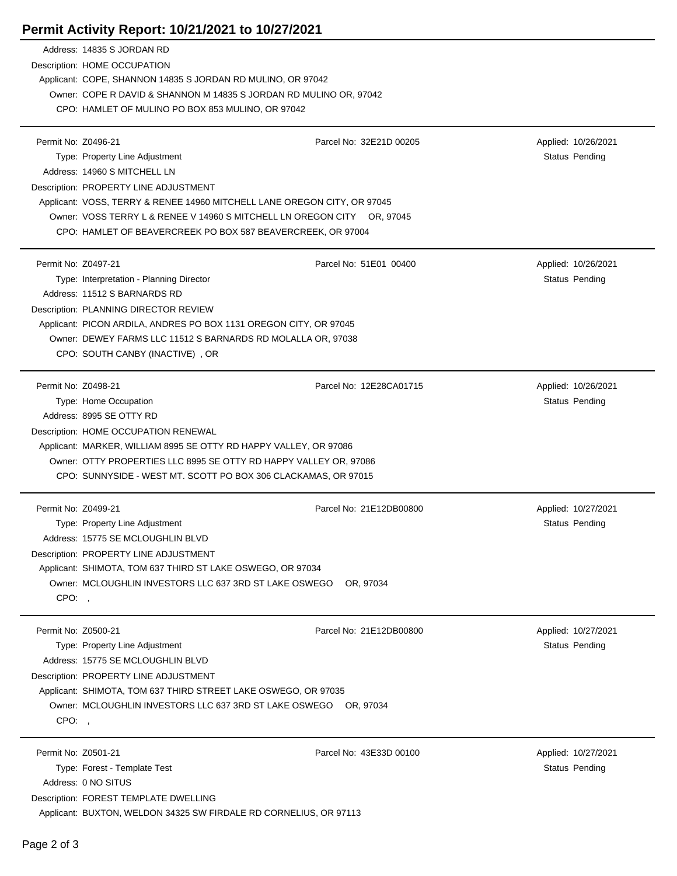## **Permit Activity Report: 10/21/2021 to 10/27/2021**

|                     | Address: 14835 S JORDAN RD                                                                                                             |                         |                     |  |  |  |
|---------------------|----------------------------------------------------------------------------------------------------------------------------------------|-------------------------|---------------------|--|--|--|
|                     | Description: HOME OCCUPATION                                                                                                           |                         |                     |  |  |  |
|                     | Applicant: COPE, SHANNON 14835 S JORDAN RD MULINO, OR 97042                                                                            |                         |                     |  |  |  |
|                     | Owner: COPE R DAVID & SHANNON M 14835 S JORDAN RD MULINO OR, 97042<br>CPO: HAMLET OF MULINO PO BOX 853 MULINO, OR 97042                |                         |                     |  |  |  |
|                     |                                                                                                                                        |                         |                     |  |  |  |
|                     |                                                                                                                                        |                         |                     |  |  |  |
| Permit No: Z0496-21 |                                                                                                                                        | Parcel No: 32E21D 00205 | Applied: 10/26/2021 |  |  |  |
|                     | Type: Property Line Adjustment                                                                                                         |                         | Status Pending      |  |  |  |
|                     | Address: 14960 S MITCHELL LN                                                                                                           |                         |                     |  |  |  |
|                     | Description: PROPERTY LINE ADJUSTMENT                                                                                                  |                         |                     |  |  |  |
|                     | Applicant: VOSS, TERRY & RENEE 14960 MITCHELL LANE OREGON CITY, OR 97045                                                               |                         |                     |  |  |  |
|                     | Owner: VOSS TERRY L & RENEE V 14960 S MITCHELL LN OREGON CITY OR, 97045<br>CPO: HAMLET OF BEAVERCREEK PO BOX 587 BEAVERCREEK, OR 97004 |                         |                     |  |  |  |
|                     |                                                                                                                                        |                         |                     |  |  |  |
|                     |                                                                                                                                        |                         |                     |  |  |  |
| Permit No: Z0497-21 |                                                                                                                                        | Parcel No: 51E01 00400  | Applied: 10/26/2021 |  |  |  |
|                     | Type: Interpretation - Planning Director                                                                                               |                         | Status Pending      |  |  |  |
|                     | Address: 11512 S BARNARDS RD                                                                                                           |                         |                     |  |  |  |
|                     | Description: PLANNING DIRECTOR REVIEW                                                                                                  |                         |                     |  |  |  |
|                     | Applicant: PICON ARDILA, ANDRES PO BOX 1131 OREGON CITY, OR 97045                                                                      |                         |                     |  |  |  |
|                     | Owner: DEWEY FARMS LLC 11512 S BARNARDS RD MOLALLA OR, 97038                                                                           |                         |                     |  |  |  |
|                     | CPO: SOUTH CANBY (INACTIVE), OR                                                                                                        |                         |                     |  |  |  |
| Permit No: Z0498-21 |                                                                                                                                        | Parcel No: 12E28CA01715 | Applied: 10/26/2021 |  |  |  |
|                     | Type: Home Occupation                                                                                                                  |                         | Status Pending      |  |  |  |
|                     | Address: 8995 SE OTTY RD                                                                                                               |                         |                     |  |  |  |
|                     | Description: HOME OCCUPATION RENEWAL                                                                                                   |                         |                     |  |  |  |
|                     | Applicant: MARKER, WILLIAM 8995 SE OTTY RD HAPPY VALLEY, OR 97086                                                                      |                         |                     |  |  |  |
|                     | Owner: OTTY PROPERTIES LLC 8995 SE OTTY RD HAPPY VALLEY OR, 97086<br>CPO: SUNNYSIDE - WEST MT. SCOTT PO BOX 306 CLACKAMAS, OR 97015    |                         |                     |  |  |  |
|                     |                                                                                                                                        |                         |                     |  |  |  |
| Permit No: Z0499-21 |                                                                                                                                        | Parcel No: 21E12DB00800 |                     |  |  |  |
|                     | Type: Property Line Adjustment                                                                                                         |                         | Applied: 10/27/2021 |  |  |  |
|                     | Address: 15775 SE MCLOUGHLIN BLVD                                                                                                      |                         | Status Pending      |  |  |  |
|                     |                                                                                                                                        |                         |                     |  |  |  |
|                     | Description: PROPERTY LINE ADJUSTMENT<br>Applicant: SHIMOTA, TOM 637 THIRD ST LAKE OSWEGO, OR 97034                                    |                         |                     |  |  |  |
|                     |                                                                                                                                        |                         |                     |  |  |  |
| CPO:,               | Owner: MCLOUGHLIN INVESTORS LLC 637 3RD ST LAKE OSWEGO OR, 97034                                                                       |                         |                     |  |  |  |
|                     |                                                                                                                                        |                         |                     |  |  |  |
| Permit No: Z0500-21 |                                                                                                                                        | Parcel No: 21E12DB00800 | Applied: 10/27/2021 |  |  |  |
|                     | Type: Property Line Adjustment                                                                                                         |                         | Status Pending      |  |  |  |
|                     | Address: 15775 SE MCLOUGHLIN BLVD                                                                                                      |                         |                     |  |  |  |
|                     | Description: PROPERTY LINE ADJUSTMENT                                                                                                  |                         |                     |  |  |  |
|                     | Applicant: SHIMOTA, TOM 637 THIRD STREET LAKE OSWEGO, OR 97035                                                                         |                         |                     |  |  |  |
|                     | Owner: MCLOUGHLIN INVESTORS LLC 637 3RD ST LAKE OSWEGO OR, 97034                                                                       |                         |                     |  |  |  |
| CPO:,               |                                                                                                                                        |                         |                     |  |  |  |
| Permit No: Z0501-21 |                                                                                                                                        | Parcel No: 43E33D 00100 | Applied: 10/27/2021 |  |  |  |
|                     | Type: Forest - Template Test                                                                                                           |                         | Status Pending      |  |  |  |
|                     | Address: 0 NO SITUS                                                                                                                    |                         |                     |  |  |  |
|                     | Description: FOREST TEMPLATE DWELLING                                                                                                  |                         |                     |  |  |  |
|                     | Applicant: BUXTON, WELDON 34325 SW FIRDALE RD CORNELIUS, OR 97113                                                                      |                         |                     |  |  |  |
|                     |                                                                                                                                        |                         |                     |  |  |  |